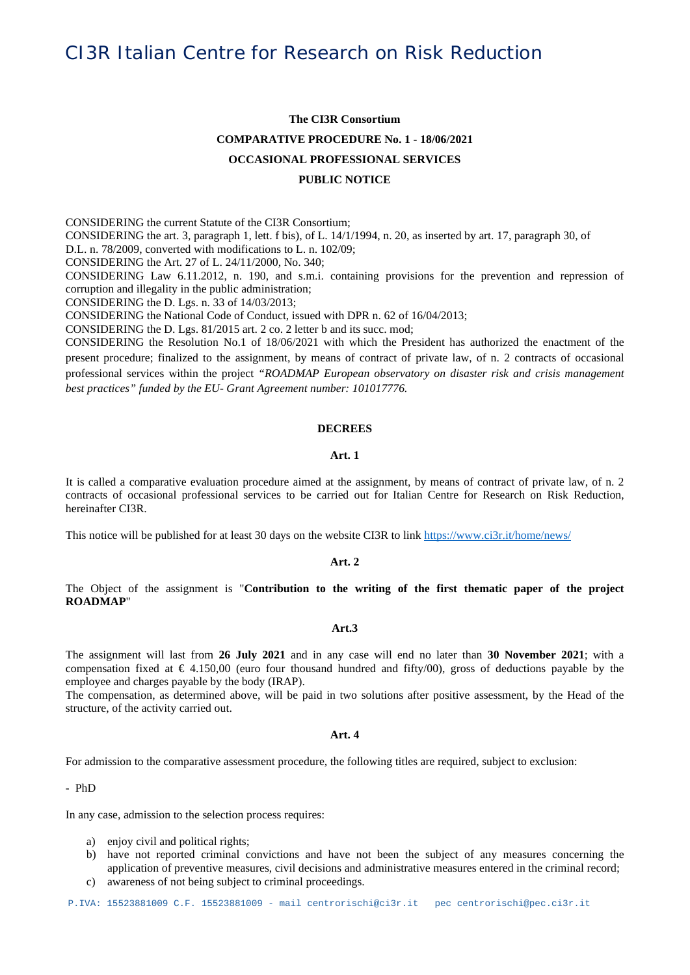## **The CI3R Consortium COMPARATIVE PROCEDURE No. 1 - 18/06/2021 OCCASIONAL PROFESSIONAL SERVICES**

### **PUBLIC NOTICE**

CONSIDERING the current Statute of the CI3R Consortium; CONSIDERING the art. 3, paragraph 1, lett. f bis), of L. 14/1/1994, n. 20, as inserted by art. 17, paragraph 30, of D.L. n. 78/2009, converted with modifications to L. n. 102/09; CONSIDERING the Art. 27 of L. 24/11/2000, No. 340; CONSIDERING Law 6.11.2012, n. 190, and s.m.i. containing provisions for the prevention and repression of corruption and illegality in the public administration;

CONSIDERING the D. Lgs. n. 33 of 14/03/2013;

CONSIDERING the National Code of Conduct, issued with DPR n. 62 of 16/04/2013;

CONSIDERING the D. Lgs. 81/2015 art. 2 co. 2 letter b and its succ. mod;

CONSIDERING the Resolution No.1 of 18/06/2021 with which the President has authorized the enactment of the present procedure; finalized to the assignment, by means of contract of private law, of n. 2 contracts of occasional professional services within the project *"ROADMAP European observatory on disaster risk and crisis management best practices" funded by the EU- Grant Agreement number: 101017776.*

#### **DECREES**

### **Art. 1**

It is called a comparative evaluation procedure aimed at the assignment, by means of contract of private law, of n. 2 contracts of occasional professional services to be carried out for Italian Centre for Research on Risk Reduction, hereinafter CI3R.

This notice will be published for at least 30 days on the website CI3R to link <https://www.ci3r.it/home/news/>

#### **Art. 2**

The Object of the assignment is "**Contribution to the writing of the first thematic paper of the project ROADMAP**"

#### **Art.3**

The assignment will last from **26 July 2021** and in any case will end no later than **30 November 2021**; with a compensation fixed at  $\epsilon$  4.150,00 (euro four thousand hundred and fifty/00), gross of deductions payable by the employee and charges payable by the body (IRAP).

The compensation, as determined above, will be paid in two solutions after positive assessment, by the Head of the structure, of the activity carried out.

#### **Art. 4**

For admission to the comparative assessment procedure, the following titles are required, subject to exclusion:

- PhD

In any case, admission to the selection process requires:

- a) enjoy civil and political rights;
- b) have not reported criminal convictions and have not been the subject of any measures concerning the application of preventive measures, civil decisions and administrative measures entered in the criminal record;
- c) awareness of not being subject to criminal proceedings.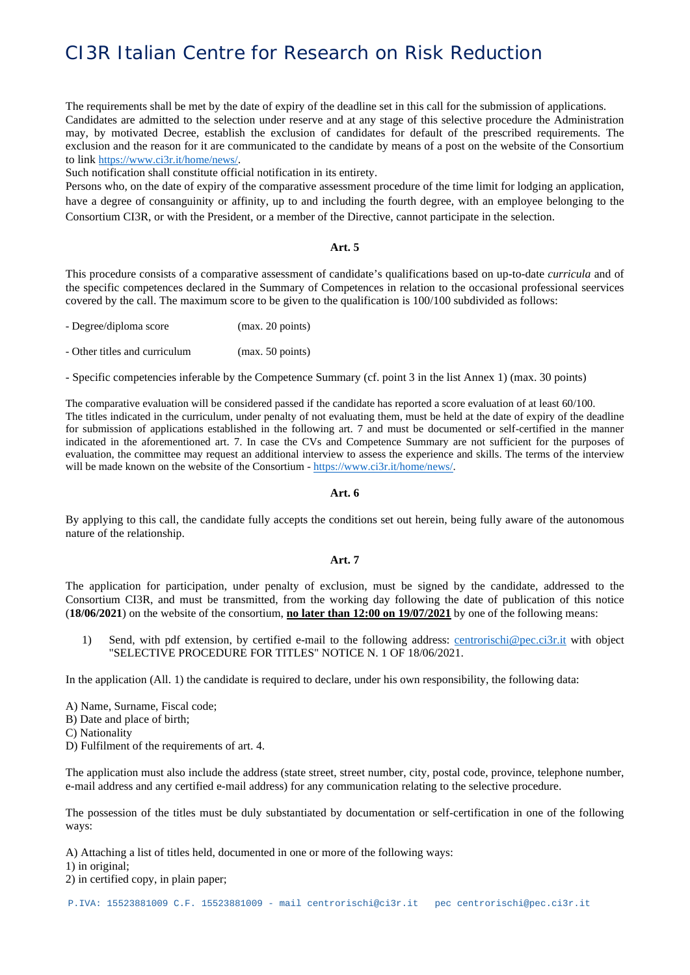The requirements shall be met by the date of expiry of the deadline set in this call for the submission of applications. Candidates are admitted to the selection under reserve and at any stage of this selective procedure the Administration may, by motivated Decree, establish the exclusion of candidates for default of the prescribed requirements. The exclusion and the reason for it are communicated to the candidate by means of a post on the website of the Consortium to link [https://www.ci3r.it/home/news/.](https://www.ci3r.it/home/news/)

Such notification shall constitute official notification in its entirety.

Persons who, on the date of expiry of the comparative assessment procedure of the time limit for lodging an application, have a degree of consanguinity or affinity, up to and including the fourth degree, with an employee belonging to the Consortium CI3R, or with the President, or a member of the Directive, cannot participate in the selection.

#### **Art. 5**

This procedure consists of a comparative assessment of candidate's qualifications based on up-to-date *curricula* and of the specific competences declared in the Summary of Competences in relation to the occasional professional seervices covered by the call. The maximum score to be given to the qualification is 100/100 subdivided as follows:

| - Degree/diploma score | (max. 20 points) |
|------------------------|------------------|
|                        |                  |

- Other titles and curriculum (max. 50 points)

- Specific competencies inferable by the Competence Summary (cf. point 3 in the list Annex 1) (max. 30 points)

The comparative evaluation will be considered passed if the candidate has reported a score evaluation of at least 60/100. The titles indicated in the curriculum, under penalty of not evaluating them, must be held at the date of expiry of the deadline for submission of applications established in the following art. 7 and must be documented or self-certified in the manner indicated in the aforementioned art. 7. In case the CVs and Competence Summary are not sufficient for the purposes of evaluation, the committee may request an additional interview to assess the experience and skills. The terms of the interview will be made known on the website of the Consortium - [https://www.ci3r.it/home/news/.](https://www.ci3r.it/home/news/)

#### **Art. 6**

By applying to this call, the candidate fully accepts the conditions set out herein, being fully aware of the autonomous nature of the relationship.

#### **Art. 7**

The application for participation, under penalty of exclusion, must be signed by the candidate, addressed to the Consortium CI3R, and must be transmitted, from the working day following the date of publication of this notice (**18/06/2021**) on the website of the consortium, **no later than 12:00 on 19/07/2021** by one of the following means:

1) Send, with pdf extension, by certified e-mail to the following address: [centrorischi@pec.ci3r.it](https://communitystudentiunina-my.sharepoint.com/personal/mapolese_unina_it/Documents/CI3R/ROADMAP/WP1/centrorischi@pec.ci3r.it) with object "SELECTIVE PROCEDURE FOR TITLES" NOTICE N. 1 OF 18/06/2021.

In the application (All. 1) the candidate is required to declare, under his own responsibility, the following data:

- A) Name, Surname, Fiscal code;
- B) Date and place of birth;
- C) Nationality
- D) Fulfilment of the requirements of art. 4.

The application must also include the address (state street, street number, city, postal code, province, telephone number, e-mail address and any certified e-mail address) for any communication relating to the selective procedure.

The possession of the titles must be duly substantiated by documentation or self-certification in one of the following ways:

A) Attaching a list of titles held, documented in one or more of the following ways:

1) in original;

2) in certified copy, in plain paper;

P.IVA: 15523881009 C.F. 15523881009 - mail centrorischi@ci3r.it pec centrorischi@pec.ci3r.it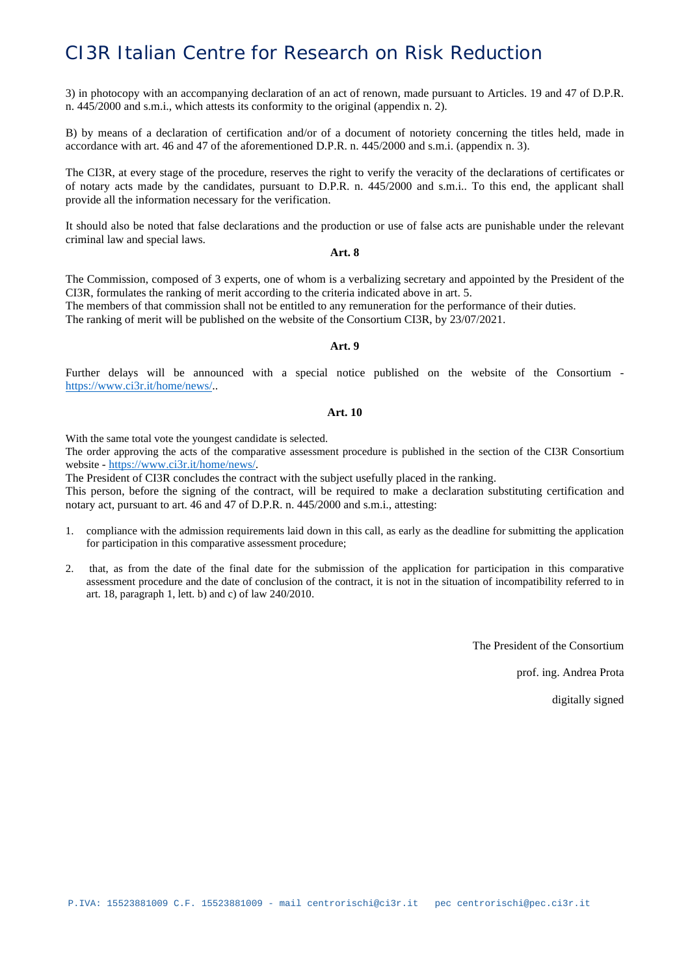3) in photocopy with an accompanying declaration of an act of renown, made pursuant to Articles. 19 and 47 of D.P.R. n. 445/2000 and s.m.i., which attests its conformity to the original (appendix n. 2).

B) by means of a declaration of certification and/or of a document of notoriety concerning the titles held, made in accordance with art. 46 and 47 of the aforementioned D.P.R. n. 445/2000 and s.m.i. (appendix n. 3).

The CI3R, at every stage of the procedure, reserves the right to verify the veracity of the declarations of certificates or of notary acts made by the candidates, pursuant to D.P.R. n. 445/2000 and s.m.i.. To this end, the applicant shall provide all the information necessary for the verification.

It should also be noted that false declarations and the production or use of false acts are punishable under the relevant criminal law and special laws.

#### **Art. 8**

The Commission, composed of 3 experts, one of whom is a verbalizing secretary and appointed by the President of the CI3R, formulates the ranking of merit according to the criteria indicated above in art. 5. The members of that commission shall not be entitled to any remuneration for the performance of their duties. The ranking of merit will be published on the website of the Consortium CI3R, by 23/07/2021.

#### **Art. 9**

Further delays will be announced with a special notice published on the website of the Consortium [https://www.ci3r.it/home/news/..](https://www.ci3r.it/home/news/)

#### **Art. 10**

With the same total vote the youngest candidate is selected.

The order approving the acts of the comparative assessment procedure is published in the section of the CI3R Consortium website - [https://www.ci3r.it/home/news/.](https://www.ci3r.it/home/news/)

The President of CI3R concludes the contract with the subject usefully placed in the ranking. This person, before the signing of the contract, will be required to make a declaration substituting certification and notary act, pursuant to art. 46 and 47 of D.P.R. n. 445/2000 and s.m.i., attesting:

- 1. compliance with the admission requirements laid down in this call, as early as the deadline for submitting the application for participation in this comparative assessment procedure;
- 2. that, as from the date of the final date for the submission of the application for participation in this comparative assessment procedure and the date of conclusion of the contract, it is not in the situation of incompatibility referred to in art. 18, paragraph 1, lett. b) and c) of law 240/2010.

The President of the Consortium

prof. ing. Andrea Prota

digitally signed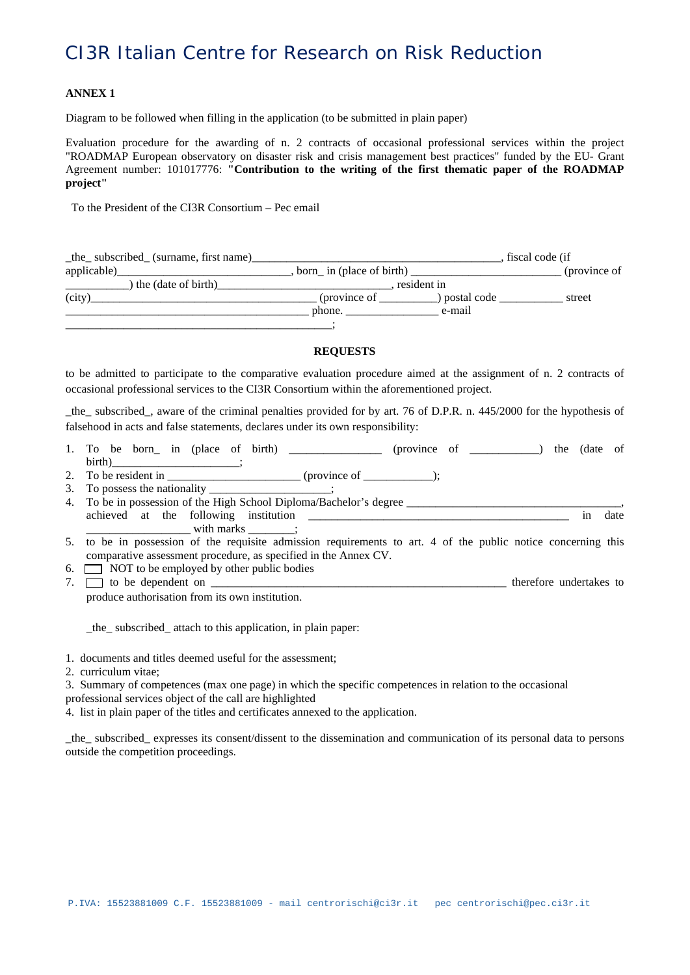#### **ANNEX 1**

Diagram to be followed when filling in the application (to be submitted in plain paper)

Evaluation procedure for the awarding of n. 2 contracts of occasional professional services within the project "ROADMAP European observatory on disaster risk and crisis management best practices" funded by the EU- Grant Agreement number: 101017776: **"Contribution to the writing of the first thematic paper of the ROADMAP project"**

To the President of the CI3R Consortium – Pec email

| _the_subscribed_(surname, first name) |                          |             | fiscal code (if |
|---------------------------------------|--------------------------|-------------|-----------------|
| applicable)_                          | born in (place of birth) |             | (province of    |
| the (date of birth)                   | resident in              |             |                 |
| (city)                                | (province of             | postal code | street          |
|                                       | phone.                   | e-mail      |                 |
|                                       |                          |             |                 |

#### **REQUESTS**

to be admitted to participate to the comparative evaluation procedure aimed at the assignment of n. 2 contracts of occasional professional services to the CI3R Consortium within the aforementioned project.

\_the\_ subscribed\_, aware of the criminal penalties provided for by art. 76 of D.P.R. n. 445/2000 for the hypothesis of falsehood in acts and false statements, declares under its own responsibility:

- 1. To be born\_ in (place of birth) \_\_\_\_\_\_\_\_\_\_\_\_\_\_\_\_\_ (province of \_\_\_\_\_\_\_\_\_\_) the (date of birth)\_\_\_\_\_\_\_\_\_\_\_\_\_\_\_\_\_\_\_\_\_\_\_;
- 2. To be resident in  $($ province of  $)$ ;
- 3. To possess the nationality  $\vdots$
- 4. To be in possession of the High School Diploma/Bachelor's degree \_\_\_\_\_\_\_\_\_\_\_\_ achieved at the following institution \_\_\_\_\_\_\_\_\_\_\_\_\_\_\_\_\_\_\_\_\_\_\_\_\_\_\_\_\_\_\_\_\_\_\_\_\_\_\_\_\_\_\_\_\_ in date with marks  $\qquad$ ;
- 5. to be in possession of the requisite admission requirements to art. 4 of the public notice concerning this comparative assessment procedure, as specified in the Annex CV.
- 6.  $\Box$  NOT to be employed by other public bodies
- 7.  $\Box$  to be dependent on  $\Box$ produce authorisation from its own institution.

\_the\_ subscribed\_ attach to this application, in plain paper:

- 1. documents and titles deemed useful for the assessment;
- 2. curriculum vitae;

3. Summary of competences (max one page) in which the specific competences in relation to the occasional professional services object of the call are highlighted

4. list in plain paper of the titles and certificates annexed to the application.

\_the\_ subscribed\_ expresses its consent/dissent to the dissemination and communication of its personal data to persons outside the competition proceedings.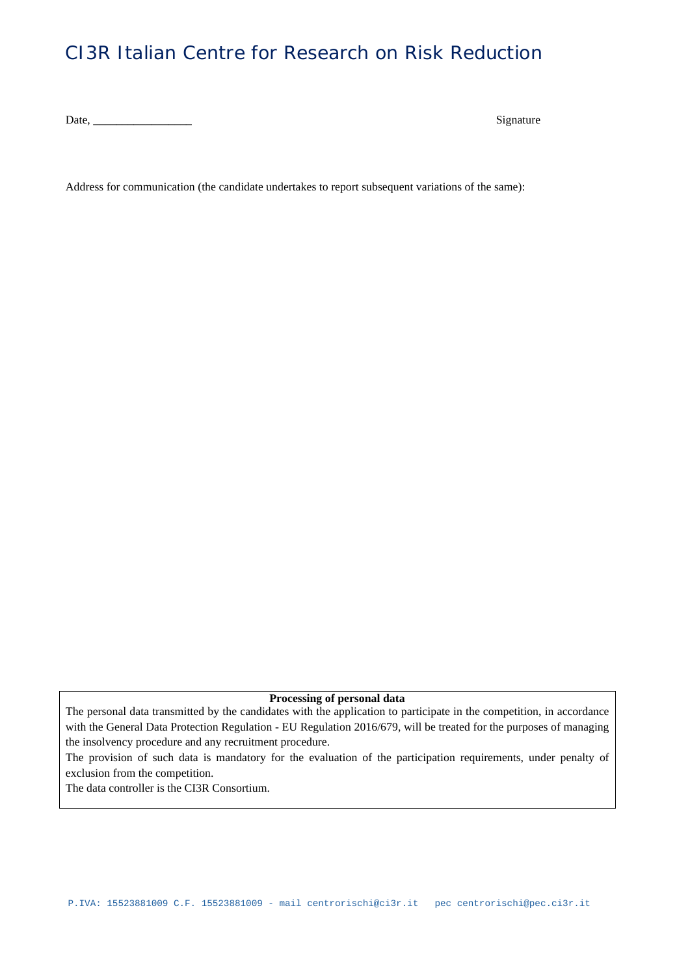Date, \_\_\_\_\_\_\_\_\_\_\_\_\_\_\_\_\_ Signature

Address for communication (the candidate undertakes to report subsequent variations of the same):

#### **Processing of personal data**

The personal data transmitted by the candidates with the application to participate in the competition, in accordance with the General Data Protection Regulation - EU Regulation 2016/679, will be treated for the purposes of managing the insolvency procedure and any recruitment procedure.

The provision of such data is mandatory for the evaluation of the participation requirements, under penalty of exclusion from the competition.

The data controller is the CI3R Consortium.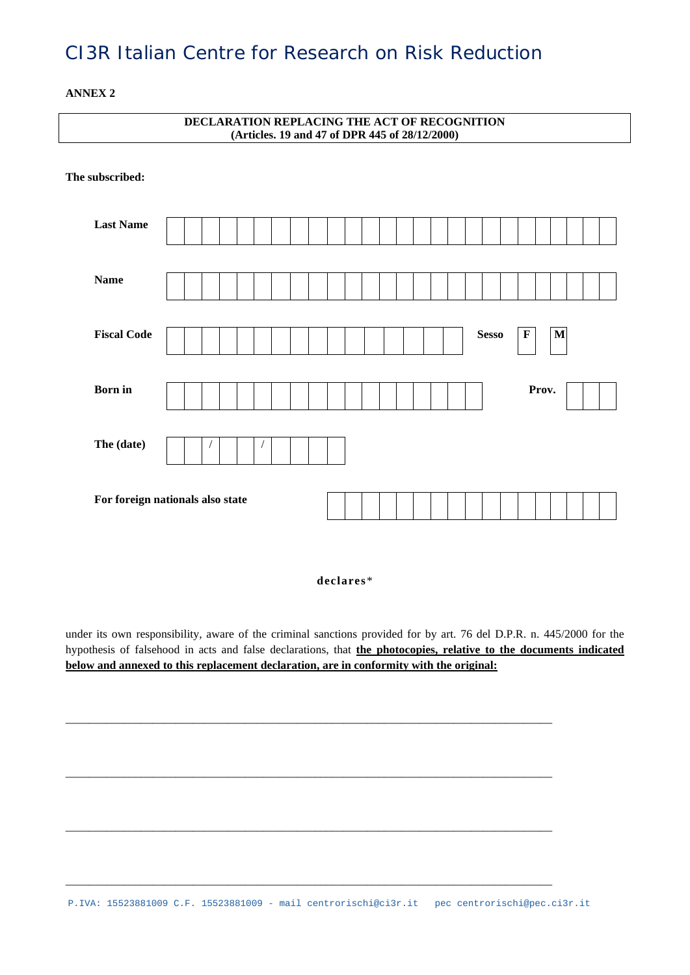**ANNEX 2**

| DECLARATION REPLACING THE ACT OF RECOGNITION<br>(Articles. 19 and 47 of DPR 445 of 28/12/2000) |                                  |  |  |  |  |  |  |  |  |  |  |  |  |              |             |       |              |  |  |
|------------------------------------------------------------------------------------------------|----------------------------------|--|--|--|--|--|--|--|--|--|--|--|--|--------------|-------------|-------|--------------|--|--|
| The subscribed:                                                                                |                                  |  |  |  |  |  |  |  |  |  |  |  |  |              |             |       |              |  |  |
| <b>Last Name</b>                                                                               |                                  |  |  |  |  |  |  |  |  |  |  |  |  |              |             |       |              |  |  |
| <b>Name</b>                                                                                    |                                  |  |  |  |  |  |  |  |  |  |  |  |  |              |             |       |              |  |  |
| <b>Fiscal Code</b>                                                                             |                                  |  |  |  |  |  |  |  |  |  |  |  |  | <b>Sesso</b> | $\mathbf F$ |       | $\mathbf{M}$ |  |  |
| <b>Born</b> in                                                                                 |                                  |  |  |  |  |  |  |  |  |  |  |  |  |              |             | Prov. |              |  |  |
| The (date)                                                                                     |                                  |  |  |  |  |  |  |  |  |  |  |  |  |              |             |       |              |  |  |
|                                                                                                | For foreign nationals also state |  |  |  |  |  |  |  |  |  |  |  |  |              |             |       |              |  |  |

**declares**\*

under its own responsibility, aware of the criminal sanctions provided for by art. 76 del D.P.R. n. 445/2000 for the hypothesis of falsehood in acts and false declarations, that **the photocopies, relative to the documents indicated below and annexed to this replacement declaration, are in conformity with the original:**

\_\_\_\_\_\_\_\_\_\_\_\_\_\_\_\_\_\_\_\_\_\_\_\_\_\_\_\_\_\_\_\_\_\_\_\_\_\_\_\_\_\_\_\_\_\_\_\_\_\_\_\_\_\_\_\_\_\_\_\_\_\_\_\_\_\_\_\_\_\_\_\_\_\_\_\_\_\_\_\_\_\_\_\_

\_\_\_\_\_\_\_\_\_\_\_\_\_\_\_\_\_\_\_\_\_\_\_\_\_\_\_\_\_\_\_\_\_\_\_\_\_\_\_\_\_\_\_\_\_\_\_\_\_\_\_\_\_\_\_\_\_\_\_\_\_\_\_\_\_\_\_\_\_\_\_\_\_\_\_\_\_\_\_\_\_\_\_\_

\_\_\_\_\_\_\_\_\_\_\_\_\_\_\_\_\_\_\_\_\_\_\_\_\_\_\_\_\_\_\_\_\_\_\_\_\_\_\_\_\_\_\_\_\_\_\_\_\_\_\_\_\_\_\_\_\_\_\_\_\_\_\_\_\_\_\_\_\_\_\_\_\_\_\_\_\_\_\_\_\_\_\_\_

\_\_\_\_\_\_\_\_\_\_\_\_\_\_\_\_\_\_\_\_\_\_\_\_\_\_\_\_\_\_\_\_\_\_\_\_\_\_\_\_\_\_\_\_\_\_\_\_\_\_\_\_\_\_\_\_\_\_\_\_\_\_\_\_\_\_\_\_\_\_\_\_\_\_\_\_\_\_\_\_\_\_\_\_

P.IVA: 15523881009 C.F. 15523881009 - mail centrorischi@ci3r.it pec centrorischi@pec.ci3r.it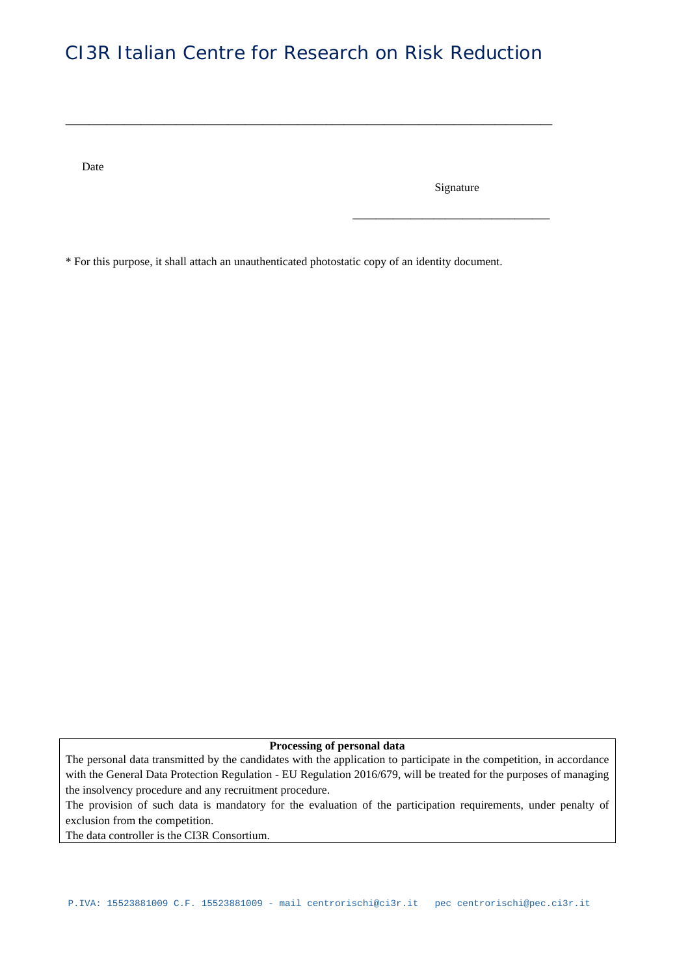\_\_\_\_\_\_\_\_\_\_\_\_\_\_\_\_\_\_\_\_\_\_\_\_\_\_\_\_\_\_\_\_\_\_\_\_\_\_\_\_\_\_\_\_\_\_\_\_\_\_\_\_\_\_\_\_\_\_\_\_\_\_\_\_\_\_\_\_\_\_\_\_\_\_\_\_\_\_\_\_\_\_\_\_

Date

Signature

\_\_\_\_\_\_\_\_\_\_\_\_\_\_\_\_\_\_\_\_\_\_\_\_\_\_\_\_\_\_\_\_\_\_

\* For this purpose, it shall attach an unauthenticated photostatic copy of an identity document.

**Processing of personal data**

The personal data transmitted by the candidates with the application to participate in the competition, in accordance with the General Data Protection Regulation - EU Regulation 2016/679, will be treated for the purposes of managing the insolvency procedure and any recruitment procedure.

The provision of such data is mandatory for the evaluation of the participation requirements, under penalty of exclusion from the competition.

The data controller is the CI3R Consortium.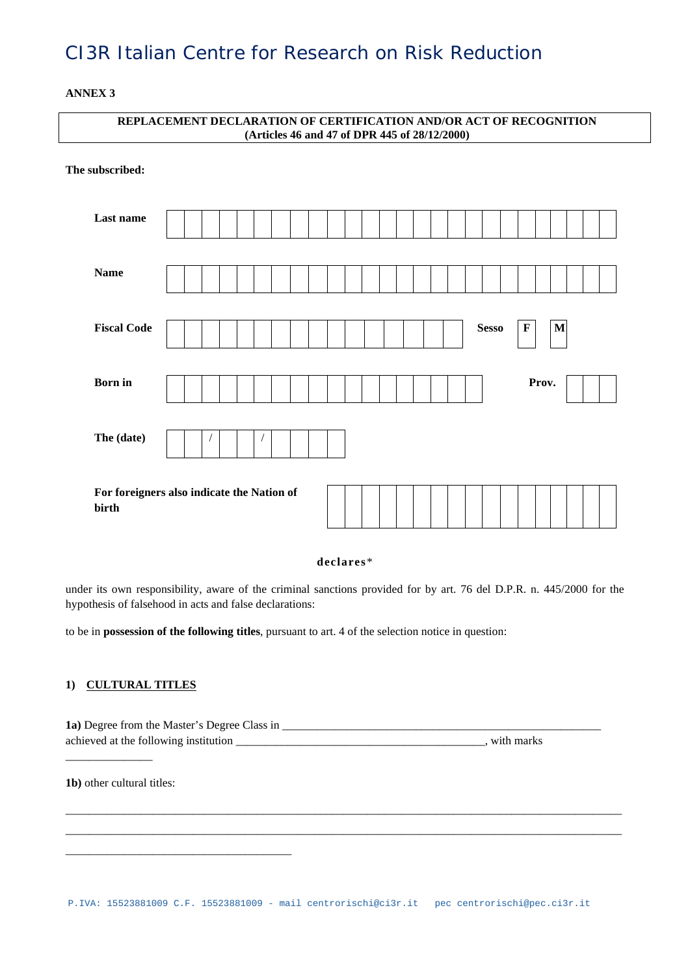**ANNEX 3**

| REPLACEMENT DECLARATION OF CERTIFICATION AND/OR ACT OF RECOGNITION<br>(Articles 46 and 47 of DPR 445 of 28/12/2000) |                                             |  |  |  |  |  |  |  |
|---------------------------------------------------------------------------------------------------------------------|---------------------------------------------|--|--|--|--|--|--|--|
| The subscribed:                                                                                                     |                                             |  |  |  |  |  |  |  |
| Last name                                                                                                           |                                             |  |  |  |  |  |  |  |
| <b>Name</b>                                                                                                         |                                             |  |  |  |  |  |  |  |
| <b>Fiscal Code</b>                                                                                                  | $\mathbf{M}$<br><b>Sesso</b><br>$\mathbf F$ |  |  |  |  |  |  |  |
| <b>Born</b> in                                                                                                      | Prov.                                       |  |  |  |  |  |  |  |
| The (date)                                                                                                          |                                             |  |  |  |  |  |  |  |
| birth                                                                                                               | For foreigners also indicate the Nation of  |  |  |  |  |  |  |  |

**declares**\*

under its own responsibility, aware of the criminal sanctions provided for by art. 76 del D.P.R. n. 445/2000 for the hypothesis of falsehood in acts and false declarations:

to be in **possession of the following titles**, pursuant to art. 4 of the selection notice in question:

### **1) CULTURAL TITLES**

**1a)** Degree from the Master's Degree Class in \_\_\_\_\_\_\_\_\_\_\_\_\_\_\_\_\_\_\_\_\_\_\_\_\_\_\_\_\_\_\_\_\_\_\_\_\_\_\_\_\_\_\_\_\_\_\_\_\_\_\_\_\_\_\_ achieved at the following institution \_\_\_\_\_\_\_\_\_\_\_\_\_\_\_\_\_\_\_\_\_\_\_\_\_\_\_\_\_\_\_\_\_\_\_\_\_\_\_\_\_\_\_, with marks

**1b)** other cultural titles:

\_\_\_\_\_\_\_\_\_\_\_\_\_\_\_\_\_\_\_\_\_\_\_\_\_\_\_\_\_\_\_\_\_\_\_\_\_\_\_

\_\_\_\_\_\_\_\_\_\_\_\_\_\_\_

\_\_\_\_\_\_\_\_\_\_\_\_\_\_\_\_\_\_\_\_\_\_\_\_\_\_\_\_\_\_\_\_\_\_\_\_\_\_\_\_\_\_\_\_\_\_\_\_\_\_\_\_\_\_\_\_\_\_\_\_\_\_\_\_\_\_\_\_\_\_\_\_\_\_\_\_\_\_\_\_\_\_\_\_\_\_\_\_\_\_\_\_\_\_\_\_ \_\_\_\_\_\_\_\_\_\_\_\_\_\_\_\_\_\_\_\_\_\_\_\_\_\_\_\_\_\_\_\_\_\_\_\_\_\_\_\_\_\_\_\_\_\_\_\_\_\_\_\_\_\_\_\_\_\_\_\_\_\_\_\_\_\_\_\_\_\_\_\_\_\_\_\_\_\_\_\_\_\_\_\_\_\_\_\_\_\_\_\_\_\_\_\_